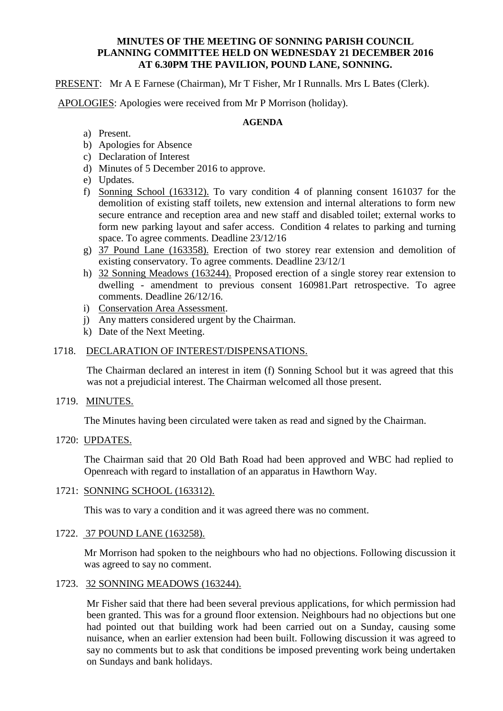## **MINUTES OF THE MEETING OF SONNING PARISH COUNCIL PLANNING COMMITTEE HELD ON WEDNESDAY 21 DECEMBER 2016 AT 6.30PM THE PAVILION, POUND LANE, SONNING.**

PRESENT: Mr A E Farnese (Chairman), Mr T Fisher, Mr I Runnalls. Mrs L Bates (Clerk).

APOLOGIES: Apologies were received from Mr P Morrison (holiday).

### **AGENDA**

- a) Present.
- b) Apologies for Absence
- c) Declaration of Interest
- d) Minutes of 5 December 2016 to approve.
- e) Updates.
- f) Sonning School (163312). To vary condition 4 of planning consent 161037 for the demolition of existing staff toilets, new extension and internal alterations to form new secure entrance and reception area and new staff and disabled toilet; external works to form new parking layout and safer access. Condition 4 relates to parking and turning space. To agree comments. Deadline 23/12/16
- g) 37 Pound Lane (163358). Erection of two storey rear extension and demolition of existing conservatory. To agree comments. Deadline 23/12/1
- h) 32 Sonning Meadows (163244). Proposed erection of a single storey rear extension to dwelling - amendment to previous consent 160981.Part retrospective. To agree comments. Deadline 26/12/16.
- i) Conservation Area Assessment.
- j) Any matters considered urgent by the Chairman.
- k) Date of the Next Meeting.

## 1718. DECLARATION OF INTEREST/DISPENSATIONS.

The Chairman declared an interest in item (f) Sonning School but it was agreed that this was not a prejudicial interest. The Chairman welcomed all those present.

## 1719. MINUTES.

The Minutes having been circulated were taken as read and signed by the Chairman.

#### 1720: UPDATES.

The Chairman said that 20 Old Bath Road had been approved and WBC had replied to Openreach with regard to installation of an apparatus in Hawthorn Way.

## 1721: SONNING SCHOOL (163312).

This was to vary a condition and it was agreed there was no comment.

## 1722. 37 POUND LANE (163258).

Mr Morrison had spoken to the neighbours who had no objections. Following discussion it was agreed to say no comment.

#### 1723. 32 SONNING MEADOWS (163244).

Mr Fisher said that there had been several previous applications, for which permission had been granted. This was for a ground floor extension. Neighbours had no objections but one had pointed out that building work had been carried out on a Sunday, causing some nuisance, when an earlier extension had been built. Following discussion it was agreed to say no comments but to ask that conditions be imposed preventing work being undertaken on Sundays and bank holidays.